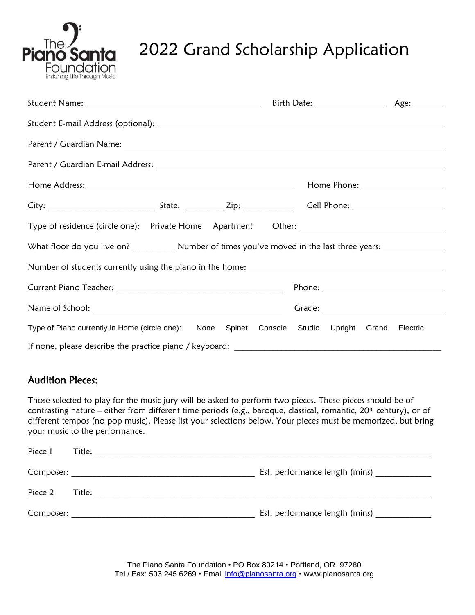

# 2022 Grand Scholarship Application

|                                                                                        |  |  |  |  | Birth Date: _________________ | Age: ________ |
|----------------------------------------------------------------------------------------|--|--|--|--|-------------------------------|---------------|
|                                                                                        |  |  |  |  |                               |               |
|                                                                                        |  |  |  |  |                               |               |
|                                                                                        |  |  |  |  |                               |               |
|                                                                                        |  |  |  |  |                               |               |
|                                                                                        |  |  |  |  |                               |               |
| Type of residence (circle one): Private Home Apartment Other: __________________       |  |  |  |  |                               |               |
|                                                                                        |  |  |  |  |                               |               |
|                                                                                        |  |  |  |  |                               |               |
|                                                                                        |  |  |  |  |                               |               |
|                                                                                        |  |  |  |  |                               |               |
| Type of Piano currently in Home (circle one): None Spinet Console Studio Upright Grand |  |  |  |  |                               | Electric      |
|                                                                                        |  |  |  |  |                               |               |

# Audition Pieces:

Those selected to play for the music jury will be asked to perform two pieces. These pieces should be of contrasting nature – either from different time periods (e.g., baroque, classical, romantic, 20<sup>th</sup> century), or of different tempos (no pop music). Please list your selections below. Your pieces must be memorized, but bring your music to the performance.

| Piece 1   | Title: |                                |
|-----------|--------|--------------------------------|
| Composer: |        | Est. performance length (mins) |
| Piece 2   | Title: |                                |
| Composer: |        | Est. performance length (mins) |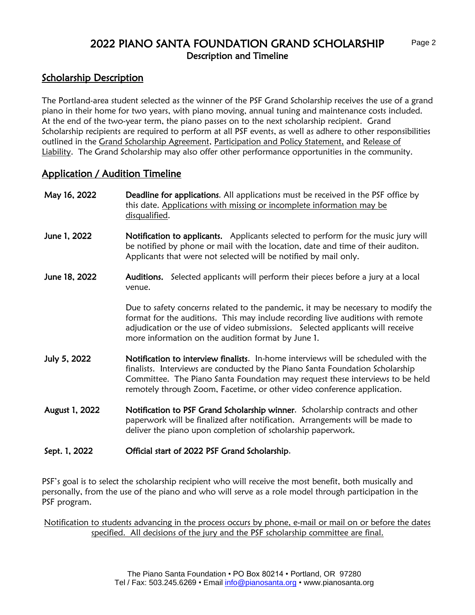# 2022 PIANO SANTA FOUNDATION GRAND SCHOLARSHIP Description and Timeline

# Scholarship Description

The Portland-area student selected as the winner of the PSF Grand Scholarship receives the use of a grand piano in their home for two years, with piano moving, annual tuning and maintenance costs included. At the end of the two-year term, the piano passes on to the next scholarship recipient. Grand Scholarship recipients are required to perform at all PSF events, as well as adhere to other responsibilities outlined in the Grand Scholarship Agreement, Participation and Policy Statement, and Release of Liability. The Grand Scholarship may also offer other performance opportunities in the community.

### Application / Audition Timeline

| May 16, 2022   | <b>Deadline for applications.</b> All applications must be received in the PSF office by<br>this date. Applications with missing or incomplete information may be<br>disqualified.                                                                                                                                              |  |  |  |  |
|----------------|---------------------------------------------------------------------------------------------------------------------------------------------------------------------------------------------------------------------------------------------------------------------------------------------------------------------------------|--|--|--|--|
| June 1, 2022   | Notification to applicants. Applicants selected to perform for the music jury will<br>be notified by phone or mail with the location, date and time of their auditon.<br>Applicants that were not selected will be notified by mail only.                                                                                       |  |  |  |  |
| June 18, 2022  | Auditions. Selected applicants will perform their pieces before a jury at a local<br>venue.                                                                                                                                                                                                                                     |  |  |  |  |
|                | Due to safety concerns related to the pandemic, it may be necessary to modify the<br>format for the auditions. This may include recording live auditions with remote<br>adjudication or the use of video submissions. Selected applicants will receive<br>more information on the audition format by June 1.                    |  |  |  |  |
| July 5, 2022   | Notification to interview finalists. In-home interviews will be scheduled with the<br>finalists. Interviews are conducted by the Piano Santa Foundation Scholarship<br>Committee. The Piano Santa Foundation may request these interviews to be held<br>remotely through Zoom, Facetime, or other video conference application. |  |  |  |  |
| August 1, 2022 | Notification to PSF Grand Scholarship winner. Scholarship contracts and other<br>paperwork will be finalized after notification. Arrangements will be made to<br>deliver the piano upon completion of scholarship paperwork.                                                                                                    |  |  |  |  |
| Sept. 1, 2022  | Official start of 2022 PSF Grand Scholarship.                                                                                                                                                                                                                                                                                   |  |  |  |  |

PSF's goal is to select the scholarship recipient who will receive the most benefit, both musically and personally, from the use of the piano and who will serve as a role model through participation in the PSF program.

Notification to students advancing in the process occurs by phone, e-mail or mail on or before the dates specified. All decisions of the jury and the PSF scholarship committee are final.